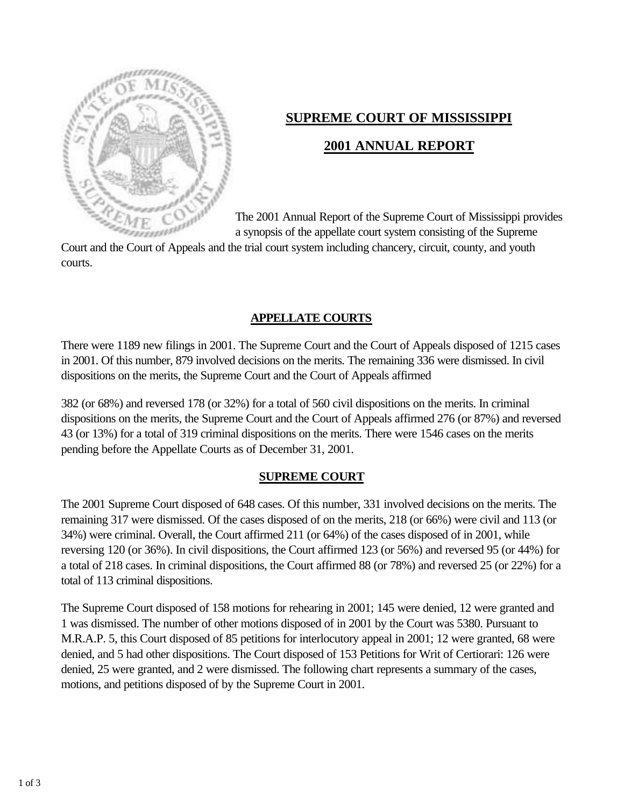

# **SUPREME COURT OF MISSISSIPPI**

# **2001 ANNUAL REPORT**

The 2001 Annual Report of the Supreme Court of Mississippi provides a synopsis of the appellate court system consisting of the Supreme

Court and the Court of Appeals and the trial court system including chancery, circuit, county, and youth courts.

#### **APPELLATE COURTS**

There were 1189 new filings in 2001. The Supreme Court and the Court of Appeals disposed of 1215 cases in 2001. Of this number, 879 involved decisions on the merits. The remaining 336 were dismissed. In civil dispositions on the merits, the Supreme Court and the Court of Appeals affirmed

382 (or 68%) and reversed 178 (or 32%) for a total of 560 civil dispositions on the merits. In criminal dispositions on the merits, the Supreme Court and the Court of Appeals affirmed 276 (or 87%) and reversed 43 (or 13%) for a total of 319 criminal dispositions on the merits. There were 1546 cases on the merits pending before the Appellate Courts as of December 31, 2001.

### **SUPREME COURT**

The 2001 Supreme Court disposed of 648 cases. Of this number, 331 involved decisions on the merits. The remaining 317 were dismissed. Of the cases disposed of on the merits, 218 (or 66%) were civil and 113 (or 34%) were criminal. Overall, the Court affirmed 211 (or 64%) of the cases disposed of in 2001, while reversing 120 (or 36%). In civil dispositions, the Court affirmed 123 (or 56%) and reversed 95 (or 44%) for a total of 218 cases. In criminal dispositions, the Court affirmed 88 (or 78%) and reversed 25 (or 22%) for a total of 113 criminal dispositions.

The Supreme Court disposed of 158 motions for rehearing in 2001; 145 were denied, 12 were granted and 1 was dismissed. The number of other motions disposed of in 2001 by the Court was 5380. Pursuant to M.R.A.P. 5, this Court disposed of 85 petitions for interlocutory appeal in 2001; 12 were granted, 68 were denied, and 5 had other dispositions. The Court disposed of 153 Petitions for Writ of Certiorari: 126 were denied, 25 were granted, and 2 were dismissed. The following chart represents a summary of the cases, motions, and petitions disposed of by the Supreme Court in 2001.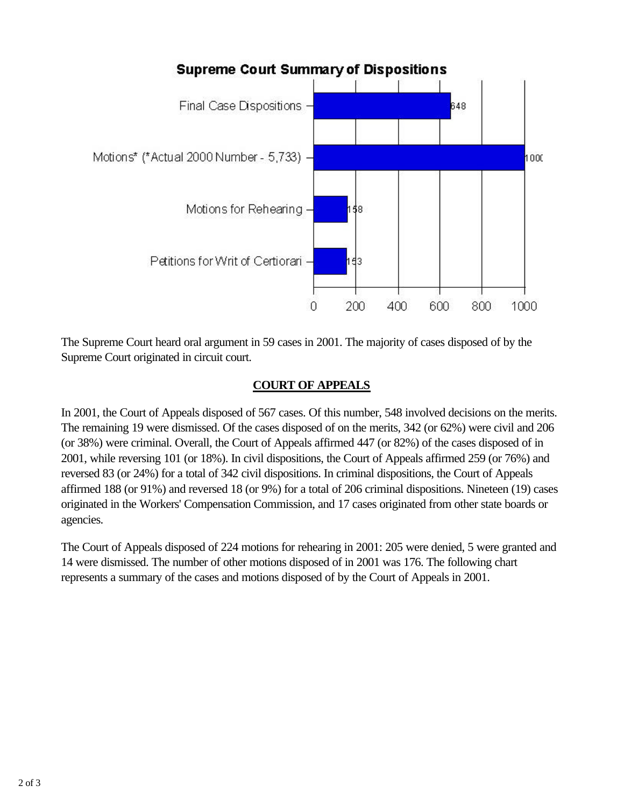

The Supreme Court heard oral argument in 59 cases in 2001. The majority of cases disposed of by the Supreme Court originated in circuit court.

# **COURT OF APPEALS**

In 2001, the Court of Appeals disposed of 567 cases. Of this number, 548 involved decisions on the merits. The remaining 19 were dismissed. Of the cases disposed of on the merits, 342 (or 62%) were civil and 206 (or 38%) were criminal. Overall, the Court of Appeals affirmed 447 (or 82%) of the cases disposed of in 2001, while reversing 101 (or 18%). In civil dispositions, the Court of Appeals affirmed 259 (or 76%) and reversed 83 (or 24%) for a total of 342 civil dispositions. In criminal dispositions, the Court of Appeals affirmed 188 (or 91%) and reversed 18 (or 9%) for a total of 206 criminal dispositions. Nineteen (19) cases originated in the Workers' Compensation Commission, and 17 cases originated from other state boards or agencies.

The Court of Appeals disposed of 224 motions for rehearing in 2001: 205 were denied, 5 were granted and 14 were dismissed. The number of other motions disposed of in 2001 was 176. The following chart represents a summary of the cases and motions disposed of by the Court of Appeals in 2001.